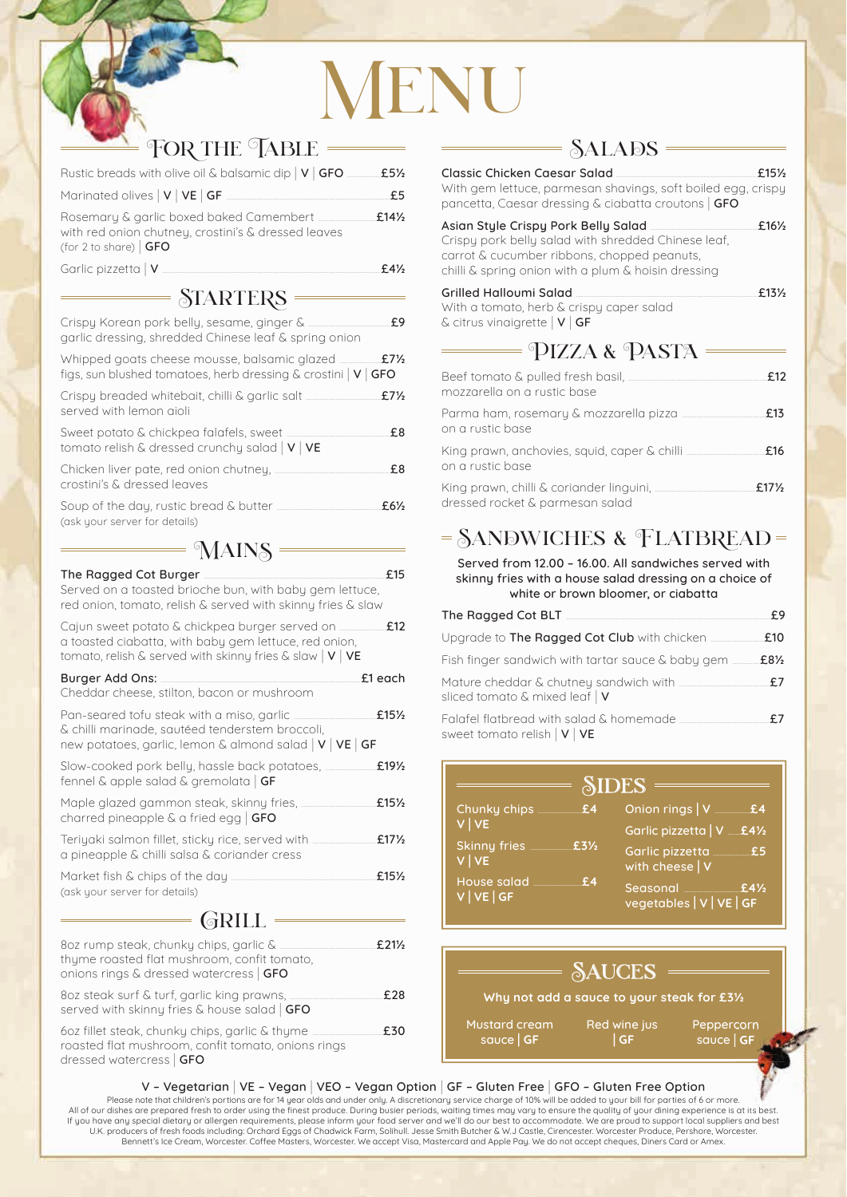# NENU

## FOR THE TABLE

| Rustic breads with olive oil & balsamic dip   V   GFO ________ £51/2          |      |
|-------------------------------------------------------------------------------|------|
|                                                                               | f 5. |
| with red onion chutney, crostini's & dressed leaves<br>(for 2 to share) $GFO$ | f14% |
| Garlic pizzetta   V                                                           |      |

#### $STARTERS$

| garlic dressing, shredded Chinese leaf & spring onion                                                                                                                       |           | £9                              |
|-----------------------------------------------------------------------------------------------------------------------------------------------------------------------------|-----------|---------------------------------|
| figs, sun blushed tomatoes, herb dressing $\&$ crostini $ V $ GFO                                                                                                           |           | $£7\frac{1}{2}$                 |
| served with lemon aioli                                                                                                                                                     |           | $£7\frac{1}{2}$                 |
| Sweet potato & chickpea falafels, sweet<br>tomato relish & dressed crunchy salad $ V VE$                                                                                    |           | £8                              |
| Chicken liver pate, red onion chutney,<br>crostini's & dressed leaves                                                                                                       |           | £8                              |
| (ask your server for details)                                                                                                                                               |           | $£6\frac{1}{2}$                 |
|                                                                                                                                                                             | $=$ MAINS |                                 |
| The Ragged Cot Burger<br>Served on a toasted brioche bun, with baby gem lettuce,<br>red onion, tomato, relish & served with skinny fries & slaw                             |           | £15                             |
| a toasted ciabatta, with baby gem lettuce, red onion,<br>tomato, relish & served with skinny fries & slaw $ V VE$                                                           |           | £12                             |
| Burger Add Ons:<br>Cheddar cheese, stilton, bacon or mushroom                                                                                                               |           | £1 each                         |
| Pan-seared tofu steak with a miso, garlic<br>& chilli marinade, sautéed tenderstem broccoli,<br>new potatoes, garlic, lemon & almond salad $ v $ $ve$ $ $ $\sqrt{e}$ $ $ GF |           | £15 <sup>1</sup> / <sub>2</sub> |
| Slow-cooked pork belly, hassle back potatoes,<br>fennel & apple salad & gremolata $\overline{\mathsf{GF}}$                                                                  |           | £191/2                          |
| Maple alazed agmmon stook skinnu fries                                                                                                                                      |           | 2151                            |

| Maple glazed gammon steak, skinny fries,         | £15 $\frac{1}{2}$ |
|--------------------------------------------------|-------------------|
| charred pineapple $\&$ a fried egg   GFO         |                   |
| Teriyaki salmon fillet, sticky rice, served with | £17 $\frac{1}{2}$ |
| a pineapple & chilli salsa & coriander cress     |                   |

| Market fish & chips of the day. | $£15\frac{1}{2}$ |
|---------------------------------|------------------|
| (ask your server for details)   |                  |

#### GRILL =

| thyme roasted flat mushroom, confit tomato,<br>onions rings & dressed watercress   GFO | $£21\frac{1}{2}$ |
|----------------------------------------------------------------------------------------|------------------|
| served with skinny fries & house salad $\overline{\mathsf{GFO}}$                       | £28              |
| roasted flat mushroom, confit tomato, onions rings<br>dressed watercress   GFO         | £30              |

#### $=$  SALADS  $=$

| Classic Chicken Caesar Salad<br>With gem lettuce, parmesan shavings, soft boiled egg, crispy<br>pancetta, Caesar dressing & ciabatta croutons   GFO       | £15½              |
|-----------------------------------------------------------------------------------------------------------------------------------------------------------|-------------------|
| Crispy pork belly salad with shredded Chinese leaf,<br>carrot & cucumber ribbons, chopped peanuts,<br>chilli & spring onion with a plum & hoisin dressing | $£16\frac{1}{2}$  |
| Grilled Halloumi Salad<br>With a tomato, herb & crispy caper salad<br>$\&$ citrus vinaigrette $ V $ GF                                                    | £13 $\frac{1}{2}$ |
| PIZZA & PASTA                                                                                                                                             |                   |
| Beef tomato & pulled fresh basil,<br>mozzarella on a rustic base                                                                                          | £12               |
| Parma ham, rosemary & mozzarella pizza ………………………………<br>on a rustic base                                                                                   | £13               |
| on a rustic base                                                                                                                                          | £16               |
| dressed rocket & parmesan salad                                                                                                                           | £17 $\frac{1}{2}$ |

### $=$  SANDWICHES & FLATBREAD  $=$

Served from 12.00 – 16.00. All sandwiches served with skinny fries with a house salad dressing on a choice of white or brown bloomer, or ciabatta

| The Ragged Cot BLT <b>And Accord Contract Property</b> Contract <b>Property</b> Contract <b>Property</b> Contract <b>Property</b> Contract <b>Property</b> Contract <b>Property</b> Contract <b>Property</b> Contract <b>Property</b> Contract <b>Property</b> Contract <b>Pr</b> | F9  |
|-----------------------------------------------------------------------------------------------------------------------------------------------------------------------------------------------------------------------------------------------------------------------------------|-----|
| Upgrade to <b>The Ragged Cot Club</b> with chicken <b><i>manu-</i></b>                                                                                                                                                                                                            | £10 |
| Fish finger sandwich with tartar sauce & baby gem $\text{I}$ 8%                                                                                                                                                                                                                   |     |
| sliced tomato & mixed leaf $\sqrt{}$                                                                                                                                                                                                                                              | £7  |
| sweet tomato relish $ V VE$                                                                                                                                                                                                                                                       | f7  |

| $=$ SIDES $=$                         |                                              |  |
|---------------------------------------|----------------------------------------------|--|
| Chunky chips <b>E4</b>                | Onion rings   V E4                           |  |
| V   VE                                | Garlic pizzetta   V  £41/2                   |  |
| Skinny fries <b>E31/2</b><br>$V$   VE | Garlic pizzetta <b>E5</b><br>with cheese   V |  |
| House salad <b>E4</b><br>V VE GF      | Seasonal E41/2<br>vegetables   V   VE   GF   |  |

# **SAUCES**

**Why not add a sauce to your steak for £3½**

Red wine jus | **GF**

Mustard cream sauce | **GF**

Peppercorn sauce | **GF**

#### V – Vegetarian | VE – Vegan | VEO – Vegan Option | GF – Gluten Free | GFO – Gluten Free Option

Please note that children's portions are for 14 year olds and under only. A discretionary service charge of 10% will be added to your bill for parties of 6 or more.<br>All of our dishes are prepared fresh to order using the f